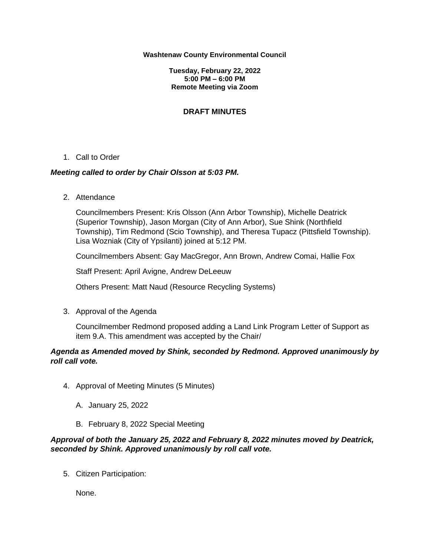### **Washtenaw County Environmental Council**

**Tuesday, February 22, 2022 5:00 PM – 6:00 PM Remote Meeting via Zoom**

# **DRAFT MINUTES**

## 1. Call to Order

## *Meeting called to order by Chair Olsson at 5:03 PM.*

2. Attendance

Councilmembers Present: Kris Olsson (Ann Arbor Township), Michelle Deatrick (Superior Township), Jason Morgan (City of Ann Arbor), Sue Shink (Northfield Township), Tim Redmond (Scio Township), and Theresa Tupacz (Pittsfield Township). Lisa Wozniak (City of Ypsilanti) joined at 5:12 PM.

Councilmembers Absent: Gay MacGregor, Ann Brown, Andrew Comai, Hallie Fox

Staff Present: April Avigne, Andrew DeLeeuw

Others Present: Matt Naud (Resource Recycling Systems)

3. Approval of the Agenda

Councilmember Redmond proposed adding a Land Link Program Letter of Support as item 9.A. This amendment was accepted by the Chair/

# *Agenda as Amended moved by Shink, seconded by Redmond. Approved unanimously by roll call vote.*

- 4. Approval of Meeting Minutes (5 Minutes)
	- A. January 25, 2022
	- B. February 8, 2022 Special Meeting

# *Approval of both the January 25, 2022 and February 8, 2022 minutes moved by Deatrick, seconded by Shink. Approved unanimously by roll call vote.*

5. Citizen Participation:

None.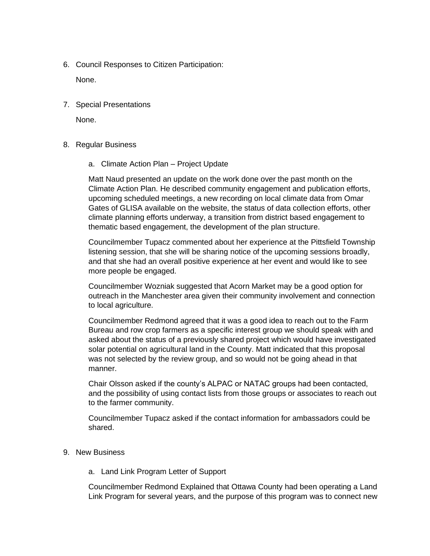6. Council Responses to Citizen Participation:

None.

7. Special Presentations

None.

- 8. Regular Business
	- a. Climate Action Plan Project Update

Matt Naud presented an update on the work done over the past month on the Climate Action Plan. He described community engagement and publication efforts, upcoming scheduled meetings, a new recording on local climate data from Omar Gates of GLISA available on the website, the status of data collection efforts, other climate planning efforts underway, a transition from district based engagement to thematic based engagement, the development of the plan structure.

Councilmember Tupacz commented about her experience at the Pittsfield Township listening session, that she will be sharing notice of the upcoming sessions broadly, and that she had an overall positive experience at her event and would like to see more people be engaged.

Councilmember Wozniak suggested that Acorn Market may be a good option for outreach in the Manchester area given their community involvement and connection to local agriculture.

Councilmember Redmond agreed that it was a good idea to reach out to the Farm Bureau and row crop farmers as a specific interest group we should speak with and asked about the status of a previously shared project which would have investigated solar potential on agricultural land in the County. Matt indicated that this proposal was not selected by the review group, and so would not be going ahead in that manner.

Chair Olsson asked if the county's ALPAC or NATAC groups had been contacted, and the possibility of using contact lists from those groups or associates to reach out to the farmer community.

Councilmember Tupacz asked if the contact information for ambassadors could be shared.

- 9. New Business
	- a. Land Link Program Letter of Support

Councilmember Redmond Explained that Ottawa County had been operating a Land Link Program for several years, and the purpose of this program was to connect new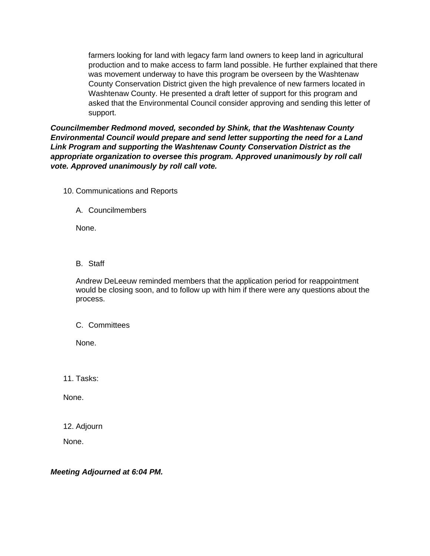farmers looking for land with legacy farm land owners to keep land in agricultural production and to make access to farm land possible. He further explained that there was movement underway to have this program be overseen by the Washtenaw County Conservation District given the high prevalence of new farmers located in Washtenaw County. He presented a draft letter of support for this program and asked that the Environmental Council consider approving and sending this letter of support.

*Councilmember Redmond moved, seconded by Shink, that the Washtenaw County Environmental Council would prepare and send letter supporting the need for a Land Link Program and supporting the Washtenaw County Conservation District as the appropriate organization to oversee this program. Approved unanimously by roll call vote. Approved unanimously by roll call vote.*

- 10. Communications and Reports
	- A. Councilmembers

None.

B. Staff

Andrew DeLeeuw reminded members that the application period for reappointment would be closing soon, and to follow up with him if there were any questions about the process.

C. Committees

None.

11. Tasks:

None.

12. Adjourn

None.

*Meeting Adjourned at 6:04 PM.*